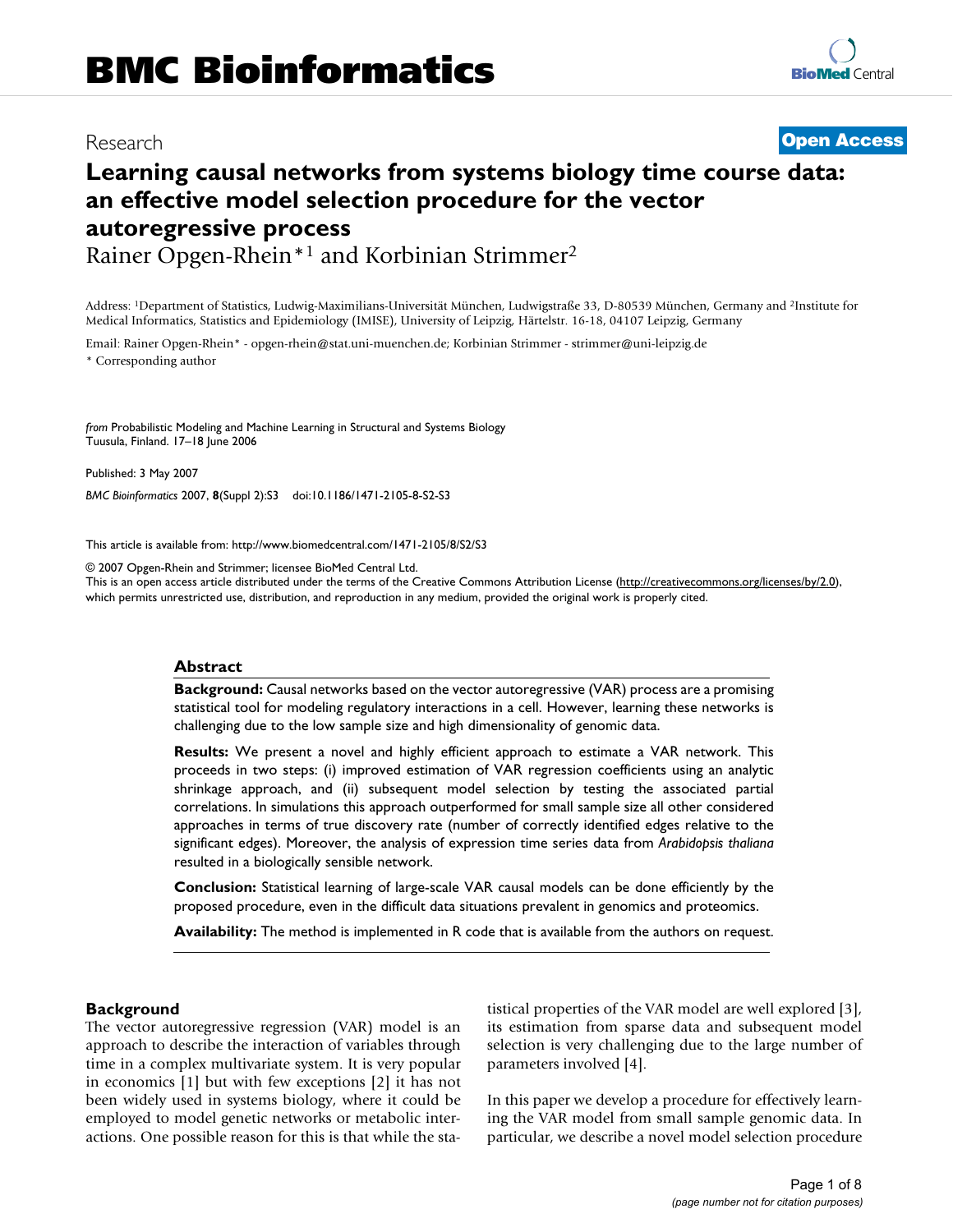# Research **[Open Access](http://www.biomedcentral.com/info/about/charter/)**

# **Learning causal networks from systems biology time course data: an effective model selection procedure for the vector autoregressive process**

Rainer Opgen-Rhein\*1 and Korbinian Strimmer2

Address: 1Department of Statistics, Ludwig-Maximilians-Universität München, Ludwigstraße 33, D-80539 München, Germany and 2Institute for Medical Informatics, Statistics and Epidemiology (IMISE), University of Leipzig, Härtelstr. 16-18, 04107 Leipzig, Germany

Email: Rainer Opgen-Rhein\* - opgen-rhein@stat.uni-muenchen.de; Korbinian Strimmer - strimmer@uni-leipzig.de

\* Corresponding author

*from* Probabilistic Modeling and Machine Learning in Structural and Systems Biology Tuusula, Finland. 17–18 June 2006

Published: 3 May 2007

*BMC Bioinformatics* 2007, **8**(Suppl 2):S3 doi:10.1186/1471-2105-8-S2-S3

[This article is available from: http://www.biomedcentral.com/1471-2105/8/S2/S3](http://www.biomedcentral.com/1471-2105/8/S2/S3)

© 2007 Opgen-Rhein and Strimmer; licensee BioMed Central Ltd.

This is an open access article distributed under the terms of the Creative Commons Attribution License [\(http://creativecommons.org/licenses/by/2.0\)](http://creativecommons.org/licenses/by/2.0), which permits unrestricted use, distribution, and reproduction in any medium, provided the original work is properly cited.

# **Abstract**

**Background:** Causal networks based on the vector autoregressive (VAR) process are a promising statistical tool for modeling regulatory interactions in a cell. However, learning these networks is challenging due to the low sample size and high dimensionality of genomic data.

**Results:** We present a novel and highly efficient approach to estimate a VAR network. This proceeds in two steps: (i) improved estimation of VAR regression coefficients using an analytic shrinkage approach, and (ii) subsequent model selection by testing the associated partial correlations. In simulations this approach outperformed for small sample size all other considered approaches in terms of true discovery rate (number of correctly identified edges relative to the significant edges). Moreover, the analysis of expression time series data from *Arabidopsis thaliana* resulted in a biologically sensible network.

**Conclusion:** Statistical learning of large-scale VAR causal models can be done efficiently by the proposed procedure, even in the difficult data situations prevalent in genomics and proteomics.

**Availability:** The method is implemented in R code that is available from the authors on request.

#### **Background**

The vector autoregressive regression (VAR) model is an approach to describe the interaction of variables through time in a complex multivariate system. It is very popular in economics [1] but with few exceptions [2] it has not been widely used in systems biology, where it could be employed to model genetic networks or metabolic interactions. One possible reason for this is that while the statistical properties of the VAR model are well explored [3], its estimation from sparse data and subsequent model selection is very challenging due to the large number of parameters involved [4].

In this paper we develop a procedure for effectively learning the VAR model from small sample genomic data. In particular, we describe a novel model selection procedure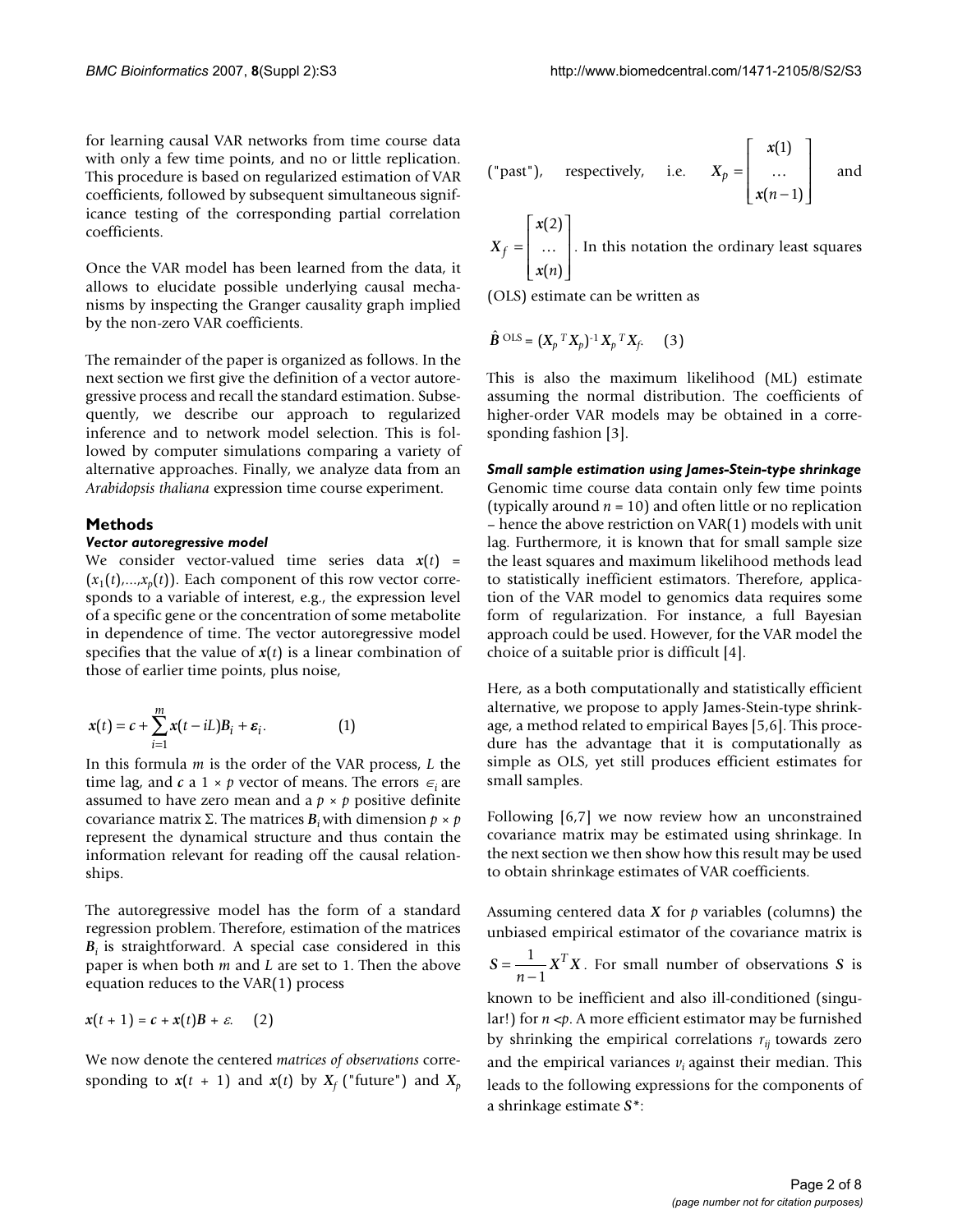for learning causal VAR networks from time course data with only a few time points, and no or little replication. This procedure is based on regularized estimation of VAR coefficients, followed by subsequent simultaneous significance testing of the corresponding partial correlation coefficients.

Once the VAR model has been learned from the data, it allows to elucidate possible underlying causal mechanisms by inspecting the Granger causality graph implied by the non-zero VAR coefficients.

The remainder of the paper is organized as follows. In the next section we first give the definition of a vector autoregressive process and recall the standard estimation. Subsequently, we describe our approach to regularized inference and to network model selection. This is followed by computer simulations comparing a variety of alternative approaches. Finally, we analyze data from an *Arabidopsis thaliana* expression time course experiment.

#### **Methods**

# *Vector autoregressive model*

We consider vector-valued time series data  $x(t)$  =  $(x_1(t),...,x_n(t))$ . Each component of this row vector corresponds to a variable of interest, e.g., the expression level of a specific gene or the concentration of some metabolite in dependence of time. The vector autoregressive model specifies that the value of  $x(t)$  is a linear combination of those of earlier time points, plus noise,

$$
x(t) = c + \sum_{i=1}^{m} x(t - iL)B_i + \varepsilon_i.
$$
 (1)

In this formula *m* is the order of the VAR process, *L* the time lag, and  $c$  a 1 ×  $p$  vector of means. The errors  $\epsilon_i$  are assumed to have zero mean and a  $p \times p$  positive definite covariance matrix Σ. The matrices  $B_i$  with dimension  $p \times p$ represent the dynamical structure and thus contain the information relevant for reading off the causal relationships.

The autoregressive model has the form of a standard regression problem. Therefore, estimation of the matrices  $B_i$  is straightforward. A special case considered in this paper is when both *m* and *L* are set to 1. Then the above equation reduces to the VAR(1) process

$$
x(t+1) = c + x(t)B + \varepsilon. \quad (2)
$$

We now denote the centered *matrices of observations* corresponding to  $x(t + 1)$  and  $x(t)$  by  $X_f$  ("future") and  $X_p$ 

("past"), respectively, i.e. 
$$
X_p = \begin{bmatrix} x(1) \\ \dots \\ x(n-1) \end{bmatrix}
$$
 and

$$
X_f = \begin{bmatrix} x(2) \\ \dots \\ x(n) \end{bmatrix}
$$
. In this notation the ordinary least squares

(OLS) estimate can be written as

$$
\hat{\mathbf{B}}^{\text{OLS}} = (X_p \,^T X_p)^{-1} X_p \,^T X_f. \tag{3}
$$

This is also the maximum likelihood (ML) estimate assuming the normal distribution. The coefficients of higher-order VAR models may be obtained in a corresponding fashion [3].

*Small sample estimation using James-Stein-type shrinkage* Genomic time course data contain only few time points (typically around *n* = 10) and often little or no replication – hence the above restriction on VAR(1) models with unit lag. Furthermore, it is known that for small sample size the least squares and maximum likelihood methods lead to statistically inefficient estimators. Therefore, application of the VAR model to genomics data requires some form of regularization. For instance, a full Bayesian approach could be used. However, for the VAR model the choice of a suitable prior is difficult [4].

Here, as a both computationally and statistically efficient alternative, we propose to apply James-Stein-type shrinkage, a method related to empirical Bayes [5,6]. This procedure has the advantage that it is computationally as simple as OLS, yet still produces efficient estimates for small samples.

Following [6,7] we now review how an unconstrained covariance matrix may be estimated using shrinkage. In the next section we then show how this result may be used to obtain shrinkage estimates of VAR coefficients.

Assuming centered data *X* for *p* variables (columns) the unbiased empirical estimator of the covariance matrix is

$$
S = \frac{1}{n-1} X^T X
$$
. For small number of observations S is

known to be inefficient and also ill-conditioned (singular!) for *n* <*p*. A more efficient estimator may be furnished by shrinking the empirical correlations  $r_{ij}$  towards zero and the empirical variances  $v_i$  against their median. This leads to the following expressions for the components of a shrinkage estimate *S\**: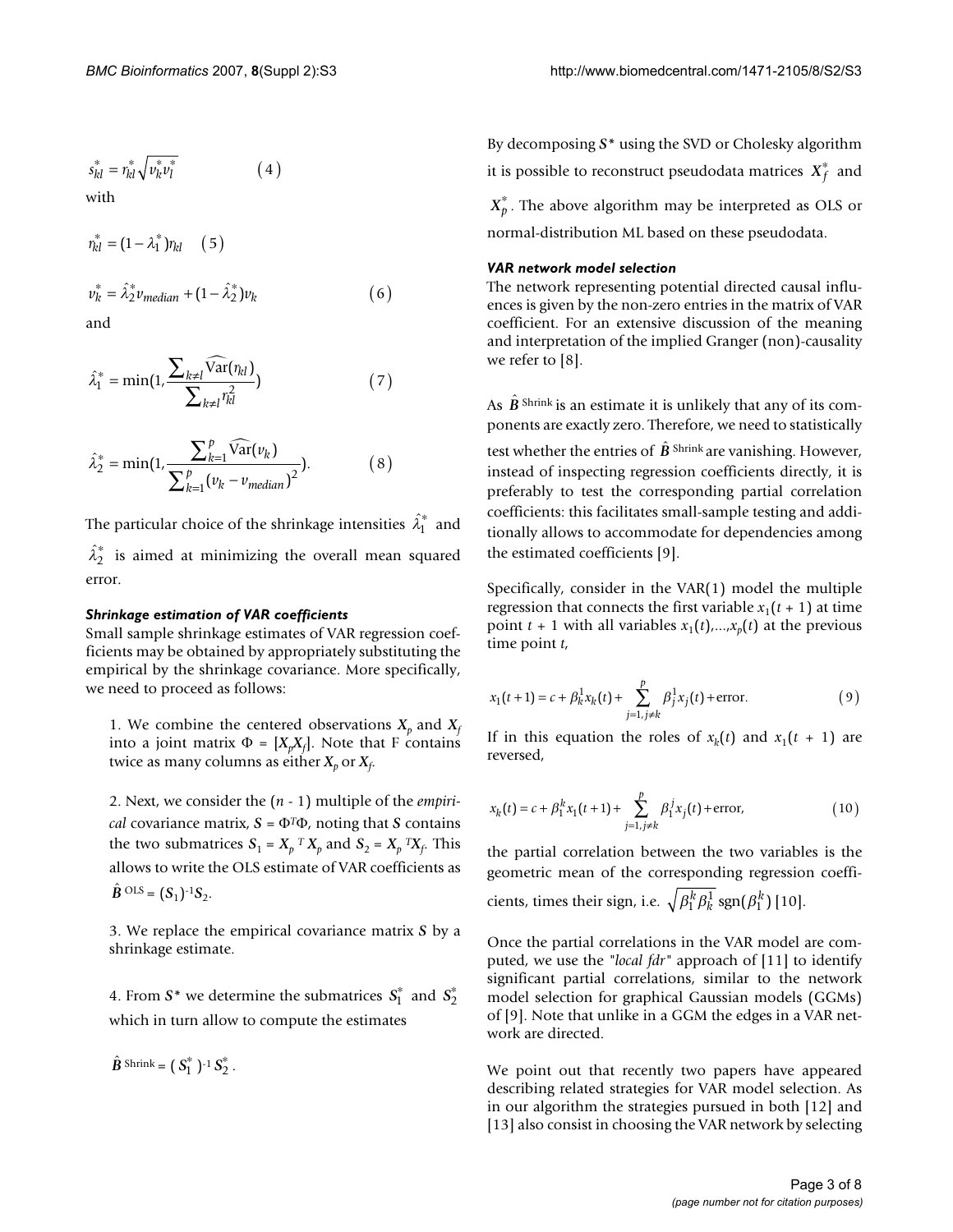$$
s_{kl}^* = r_{kl}^* \sqrt{v_k^* v_l^*}
$$
 (4)

with

$$
r_{kl}^{*} = (1 - \lambda_1^{*})r_{kl} \quad (5)
$$
  

$$
v_{k}^{*} = \hat{\lambda}_{2}^{*} v_{median} + (1 - \hat{\lambda}_{2}^{*})v_{k}
$$
 (6)

and

$$
\hat{\lambda}_1^* = \min(1, \frac{\sum_{k \neq l} \widehat{\text{Var}}(\eta_{kl})}{\sum_{k \neq l} \eta_{kl}^2})
$$
\n(7)

$$
\hat{\lambda}_2^* = \min(1, \frac{\sum_{k=1}^p \widehat{\text{Var}}(v_k)}{\sum_{k=1}^p (v_k - v_{median})^2}).
$$
 (8)

The particular choice of the shrinkage intensities  $\hat{\lambda}_1^*$  and  $\hat{\lambda}_2^*$  is aimed at minimizing the overall mean squared error.

## *Shrinkage estimation of VAR coefficients*

Small sample shrinkage estimates of VAR regression coefficients may be obtained by appropriately substituting the empirical by the shrinkage covariance. More specifically, we need to proceed as follows:

1. We combine the centered observations  $X_p$  and  $X_f$ into a joint matrix  $\Phi = [X_p X_f]$ . Note that F contains twice as many columns as either  $X_p$  or  $X_f$ .

2. Next, we consider the (*n* - 1) multiple of the *empirical* covariance matrix,  $S = \Phi^T \Phi$ , noting that *S* contains the two submatrices  $S_1 = X_p^T X_p$  and  $S_2 = X_p^T X_f$ . This allows to write the OLS estimate of VAR coefficients as  $\hat{B}^{OLS} = (S_1)^{-1}S_2.$ 

3. We replace the empirical covariance matrix *S* by a shrinkage estimate.

4. From  $S^*$  we determine the submatrices  $S_1^*$  and  $S_2^*$ which in turn allow to compute the estimates

 $\hat{B}$  Shrink =  $(S_1^*)^{-1} S_2^*$ .

By decomposing *S\** using the SVD or Cholesky algorithm it is possible to reconstruct pseudodata matrices  $\overline{X}_f^*$  and  $X_p^*$ . The above algorithm may be interpreted as OLS or normal-distribution ML based on these pseudodata.

#### *VAR network model selection*

The network representing potential directed causal influences is given by the non-zero entries in the matrix of VAR coefficient. For an extensive discussion of the meaning and interpretation of the implied Granger (non)-causality we refer to [8].

As  $\hat{\mathbf{B}}$ <sup>shrink</sup> is an estimate it is unlikely that any of its components are exactly zero. Therefore, we need to statistically

test whether the entries of  $\hat{\bm{B}}$  <sup>Shrink</sup> are vanishing. However, instead of inspecting regression coefficients directly, it is preferably to test the corresponding partial correlation coefficients: this facilitates small-sample testing and additionally allows to accommodate for dependencies among the estimated coefficients [9].

Specifically, consider in the VAR(1) model the multiple regression that connects the first variable  $x_1(t + 1)$  at time point  $t + 1$  with all variables  $x_1(t),...,x_n(t)$  at the previous time point *t*,

$$
x_1(t+1) = c + \beta_k^1 x_k(t) + \sum_{j=1, j \neq k}^p \beta_j^1 x_j(t) + \text{error.}
$$
 (9)

If in this equation the roles of  $x_k(t)$  and  $x_1(t + 1)$  are reversed,

$$
x_k(t) = c + \beta_1^k x_1(t+1) + \sum_{j=1, j \neq k}^{p} \beta_1^j x_j(t) + \text{error}, \qquad (10)
$$

the partial correlation between the two variables is the geometric mean of the corresponding regression coefficients, times their sign, i.e.  $\sqrt{\beta_1^k}\beta_k^1\ \text{sgn}(\beta_1^k)$  [10].

Once the partial correlations in the VAR model are computed, we use the *"local fdr"* approach of [11] to identify significant partial correlations, similar to the network model selection for graphical Gaussian models (GGMs) of [9]. Note that unlike in a GGM the edges in a VAR network are directed.

We point out that recently two papers have appeared describing related strategies for VAR model selection. As in our algorithm the strategies pursued in both [12] and [13] also consist in choosing the VAR network by selecting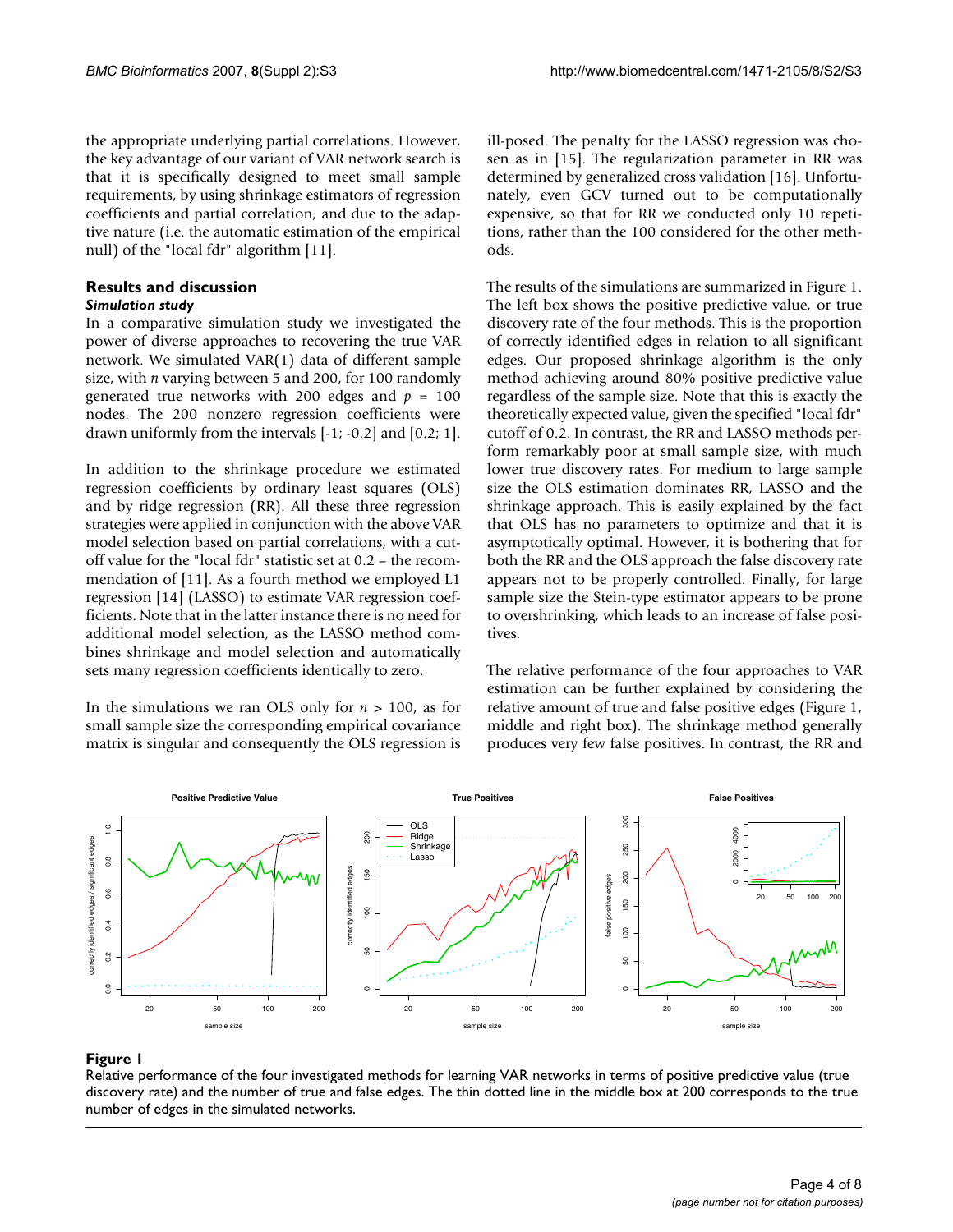the appropriate underlying partial correlations. However, the key advantage of our variant of VAR network search is that it is specifically designed to meet small sample requirements, by using shrinkage estimators of regression coefficients and partial correlation, and due to the adaptive nature (i.e. the automatic estimation of the empirical null) of the "local fdr" algorithm [11].

# **Results and discussion**

## *Simulation study*

In a comparative simulation study we investigated the power of diverse approaches to recovering the true VAR network. We simulated VAR(1) data of different sample size, with *n* varying between 5 and 200, for 100 randomly generated true networks with 200 edges and *p* = 100 nodes. The 200 nonzero regression coefficients were drawn uniformly from the intervals [-1; -0.2] and [0.2; 1].

In addition to the shrinkage procedure we estimated regression coefficients by ordinary least squares (OLS) and by ridge regression (RR). All these three regression strategies were applied in conjunction with the above VAR model selection based on partial correlations, with a cutoff value for the "local fdr" statistic set at 0.2 – the recommendation of [11]. As a fourth method we employed L1 regression [14] (LASSO) to estimate VAR regression coefficients. Note that in the latter instance there is no need for additional model selection, as the LASSO method combines shrinkage and model selection and automatically sets many regression coefficients identically to zero.

In the simulations we ran OLS only for *n* > 100, as for small sample size the corresponding empirical covariance matrix is singular and consequently the OLS regression is ill-posed. The penalty for the LASSO regression was chosen as in [15]. The regularization parameter in RR was determined by generalized cross validation [16]. Unfortunately, even GCV turned out to be computationally expensive, so that for RR we conducted only 10 repetitions, rather than the 100 considered for the other methods.

The results of the simulations are summarized in Figure 1. The left box shows the positive predictive value, or true discovery rate of the four methods. This is the proportion of correctly identified edges in relation to all significant edges. Our proposed shrinkage algorithm is the only method achieving around 80% positive predictive value regardless of the sample size. Note that this is exactly the theoretically expected value, given the specified "local fdr" cutoff of 0.2. In contrast, the RR and LASSO methods perform remarkably poor at small sample size, with much lower true discovery rates. For medium to large sample size the OLS estimation dominates RR, LASSO and the shrinkage approach. This is easily explained by the fact that OLS has no parameters to optimize and that it is asymptotically optimal. However, it is bothering that for both the RR and the OLS approach the false discovery rate appears not to be properly controlled. Finally, for large sample size the Stein-type estimator appears to be prone to overshrinking, which leads to an increase of false positives.

The relative performance of the four approaches to VAR estimation can be further explained by considering the relative amount of true and false positive edges (Figure 1, middle and right box). The shrinkage method generally produces very few false positives. In contrast, the RR and



# Relative performance of the four investigat discovery rate) and the number of true and false edges **Figure 1** ed methods for learning VAR networks in terms of positive predictive value (true

Relative performance of the four investigated methods for learning VAR networks in terms of positive predictive value (true discovery rate) and the number of true and false edges. The thin dotted line in the middle box at 200 corresponds to the true number of edges in the simulated networks.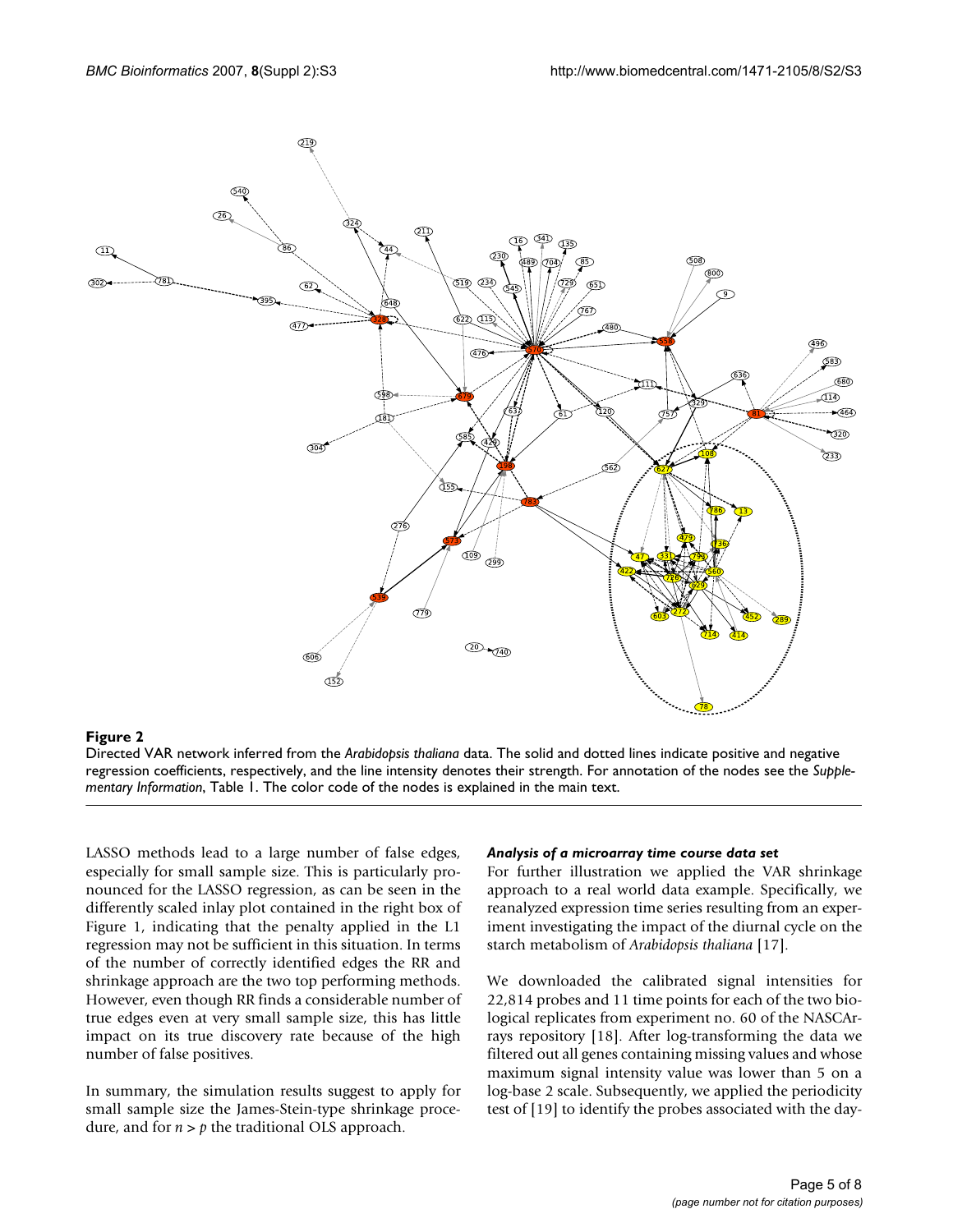

#### **Figure 2**

Directed VAR network inferred from the *Arabidopsis thaliana* data. The solid and dotted lines indicate positive and negative regression coefficients, respectively, and the line intensity denotes their strength. For annotation of the nodes see the *Supplementary Information*, Table 1. The color code of the nodes is explained in the main text.

LASSO methods lead to a large number of false edges, especially for small sample size. This is particularly pronounced for the LASSO regression, as can be seen in the differently scaled inlay plot contained in the right box of Figure 1, indicating that the penalty applied in the L1 regression may not be sufficient in this situation. In terms of the number of correctly identified edges the RR and shrinkage approach are the two top performing methods. However, even though RR finds a considerable number of true edges even at very small sample size, this has little impact on its true discovery rate because of the high number of false positives.

In summary, the simulation results suggest to apply for small sample size the James-Stein-type shrinkage procedure, and for  $n > p$  the traditional OLS approach.

#### *Analysis of a microarray time course data set*

For further illustration we applied the VAR shrinkage approach to a real world data example. Specifically, we reanalyzed expression time series resulting from an experiment investigating the impact of the diurnal cycle on the starch metabolism of *Arabidopsis thaliana* [17].

We downloaded the calibrated signal intensities for 22,814 probes and 11 time points for each of the two biological replicates from experiment no. 60 of the NASCArrays repository [18]. After log-transforming the data we filtered out all genes containing missing values and whose maximum signal intensity value was lower than 5 on a log-base 2 scale. Subsequently, we applied the periodicity test of [19] to identify the probes associated with the day-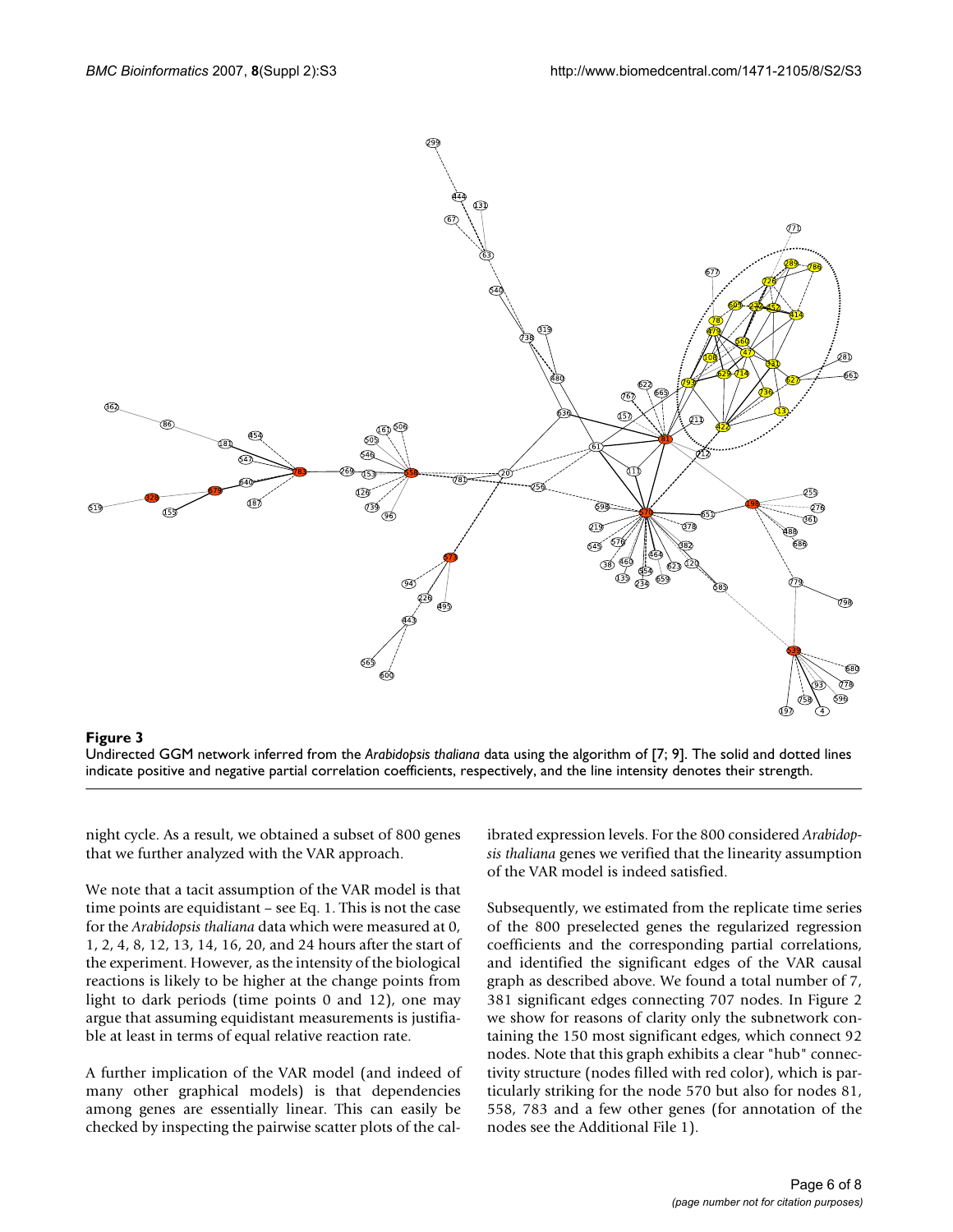

#### **Figure 3** Undirected GGM network inferred from the algorithm of  $\alpha$

Undirected GGM network inferred from the *Arabidopsis thaliana* data using the algorithm of [7; 9]. The solid and dotted lines indicate positive and negative partial correlation coefficients, respectively, and the line intensity denotes their strength.

night cycle. As a result, we obtained a subset of 800 genes that we further analyzed with the VAR approach.

We note that a tacit assumption of the VAR model is that time points are equidistant – see Eq. 1. This is not the case for the *Arabidopsis thaliana* data which were measured at 0, 1, 2, 4, 8, 12, 13, 14, 16, 20, and 24 hours after the start of the experiment. However, as the intensity of the biological reactions is likely to be higher at the change points from light to dark periods (time points 0 and 12), one may argue that assuming equidistant measurements is justifiable at least in terms of equal relative reaction rate.

A further implication of the VAR model (and indeed of many other graphical models) is that dependencies among genes are essentially linear. This can easily be checked by inspecting the pairwise scatter plots of the calibrated expression levels. For the 800 considered *Arabidopsis thaliana* genes we verified that the linearity assumption of the VAR model is indeed satisfied.

Subsequently, we estimated from the replicate time series of the 800 preselected genes the regularized regression coefficients and the corresponding partial correlations, and identified the significant edges of the VAR causal graph as described above. We found a total number of 7, 381 significant edges connecting 707 nodes. In Figure 2 we show for reasons of clarity only the subnetwork containing the 150 most significant edges, which connect 92 nodes. Note that this graph exhibits a clear "hub" connectivity structure (nodes filled with red color), which is particularly striking for the node 570 but also for nodes 81, 558, 783 and a few other genes (for annotation of the nodes see the Additional File 1).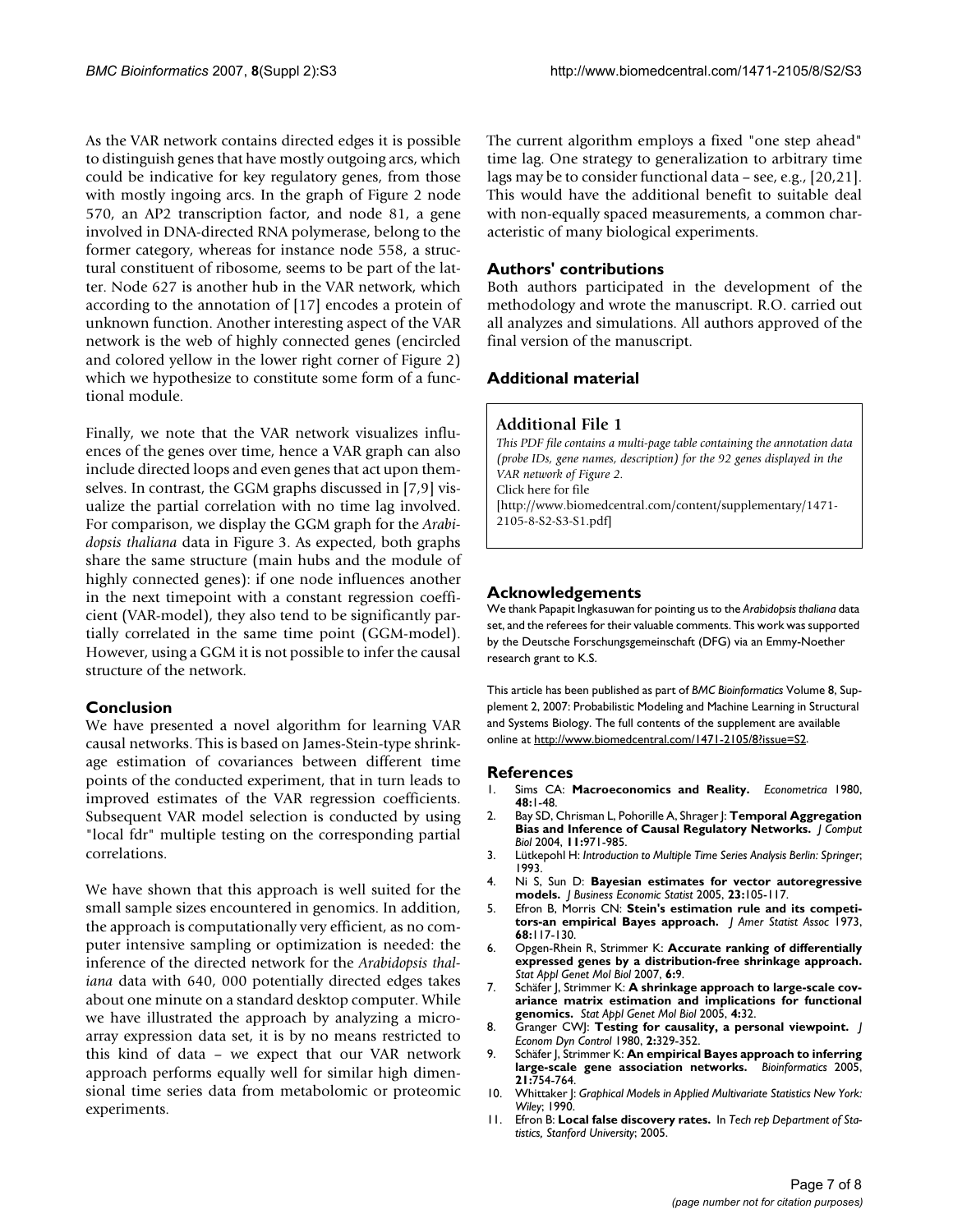As the VAR network contains directed edges it is possible to distinguish genes that have mostly outgoing arcs, which could be indicative for key regulatory genes, from those with mostly ingoing arcs. In the graph of Figure 2 node 570, an AP2 transcription factor, and node 81, a gene involved in DNA-directed RNA polymerase, belong to the former category, whereas for instance node 558, a structural constituent of ribosome, seems to be part of the latter. Node 627 is another hub in the VAR network, which according to the annotation of [17] encodes a protein of unknown function. Another interesting aspect of the VAR network is the web of highly connected genes (encircled and colored yellow in the lower right corner of Figure 2) which we hypothesize to constitute some form of a functional module.

Finally, we note that the VAR network visualizes influences of the genes over time, hence a VAR graph can also include directed loops and even genes that act upon themselves. In contrast, the GGM graphs discussed in [7,9] visualize the partial correlation with no time lag involved. For comparison, we display the GGM graph for the *Arabidopsis thaliana* data in Figure 3. As expected, both graphs share the same structure (main hubs and the module of highly connected genes): if one node influences another in the next timepoint with a constant regression coefficient (VAR-model), they also tend to be significantly partially correlated in the same time point (GGM-model). However, using a GGM it is not possible to infer the causal structure of the network.

# **Conclusion**

We have presented a novel algorithm for learning VAR causal networks. This is based on James-Stein-type shrinkage estimation of covariances between different time points of the conducted experiment, that in turn leads to improved estimates of the VAR regression coefficients. Subsequent VAR model selection is conducted by using "local fdr" multiple testing on the corresponding partial correlations.

We have shown that this approach is well suited for the small sample sizes encountered in genomics. In addition, the approach is computationally very efficient, as no computer intensive sampling or optimization is needed: the inference of the directed network for the *Arabidopsis thaliana* data with 640, 000 potentially directed edges takes about one minute on a standard desktop computer. While we have illustrated the approach by analyzing a microarray expression data set, it is by no means restricted to this kind of data – we expect that our VAR network approach performs equally well for similar high dimensional time series data from metabolomic or proteomic experiments.

The current algorithm employs a fixed "one step ahead" time lag. One strategy to generalization to arbitrary time lags may be to consider functional data – see, e.g., [20,21]. This would have the additional benefit to suitable deal with non-equally spaced measurements, a common characteristic of many biological experiments.

# **Authors' contributions**

Both authors participated in the development of the methodology and wrote the manuscript. R.O. carried out all analyzes and simulations. All authors approved of the final version of the manuscript.

# **Additional material**

# **Additional File 1**

*This PDF file contains a multi-page table containing the annotation data (probe IDs, gene names, description) for the 92 genes displayed in the VAR network of Figure 2.* Click here for file [\[http://www.biomedcentral.com/content/supplementary/1471-](http://www.biomedcentral.com/content/supplementary/1471-2105-8-S2-S3-S1.pdf) 2105-8-S2-S3-S1.pdf]

# **Acknowledgements**

We thank Papapit Ingkasuwan for pointing us to the *Arabidopsis thaliana* data set, and the referees for their valuable comments. This work was supported by the Deutsche Forschungsgemeinschaft (DFG) via an Emmy-Noether research grant to K.S.

This article has been published as part of *BMC Bioinformatics* Volume 8, Supplement 2, 2007: Probabilistic Modeling and Machine Learning in Structural and Systems Biology. The full contents of the supplement are available online at<http://www.biomedcentral.com/1471-2105/8?issue=S2>.

#### **References**

- 1. Sims CA: **Macroeconomics and Reality.** *Econometrica* 1980, **48:**1-48.
- 2. Bay SD, Chrisman L, Pohorille A, Shrager J: **[Temporal Aggregation](http://www.ncbi.nlm.nih.gov/entrez/query.fcgi?cmd=Retrieve&db=PubMed&dopt=Abstract&list_uids=15700412) [Bias and Inference of Causal Regulatory Networks.](http://www.ncbi.nlm.nih.gov/entrez/query.fcgi?cmd=Retrieve&db=PubMed&dopt=Abstract&list_uids=15700412)** *J Comput Biol* 2004, **11:**971-985.
- 3. Lütkepohl H: *Introduction to Multiple Time Series Analysis Berlin: Springer*; 1993.
- 4. Ni S, Sun D: **Bayesian estimates for vector autoregressive models.** *J Business Economic Statist* 2005, **23:**105-117.
- 5. Efron B, Morris CN: **Stein's estimation rule and its competitors-an empirical Bayes approach.** *J Amer Statist Assoc* 1973, **68:**117-130.
- 6. Opgen-Rhein R, Strimmer K: **Accurate ranking of differentially expressed genes by a distribution-free shrinkage approach.** *Stat Appl Genet Mol Biol* 2007, **6:**9.
- 7. Schäfer J, Strimmer K: **A shrinkage approach to large-scale covariance matrix estimation and implications for functional genomics.** *Stat Appl Genet Mol Biol* 2005, **4:**32.
- 8. Granger CWJ: **Testing for causality, a personal viewpoint.** *J Econom Dyn Control* 1980, **2:**329-352.
- 9. Schäfer J, Strimmer K: **[An empirical Bayes approach to inferring](http://www.ncbi.nlm.nih.gov/entrez/query.fcgi?cmd=Retrieve&db=PubMed&dopt=Abstract&list_uids=15479708) [large-scale gene association networks.](http://www.ncbi.nlm.nih.gov/entrez/query.fcgi?cmd=Retrieve&db=PubMed&dopt=Abstract&list_uids=15479708)** *Bioinformatics* 2005, **21:**754-764.
- 10. Whittaker J: *Graphical Models in Applied Multivariate Statistics New York: Wiley*; 1990.
- 11. Efron B: **Local false discovery rates.** In *Tech rep Department of Statistics, Stanford University*; 2005.